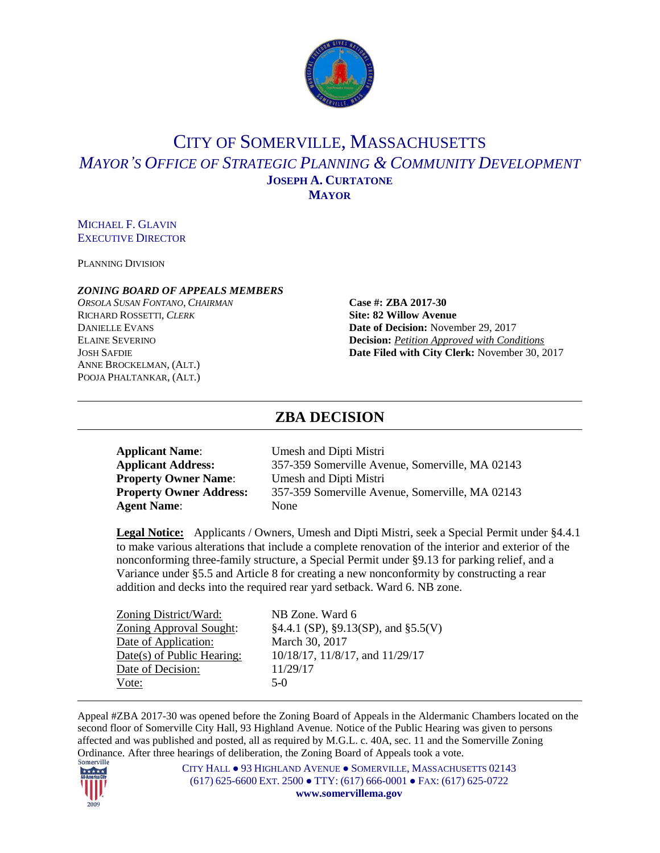

# CITY OF SOMERVILLE, MASSACHUSETTS *MAYOR'S OFFICE OF STRATEGIC PLANNING & COMMUNITY DEVELOPMENT* **JOSEPH A. CURTATONE MAYOR**

#### MICHAEL F. GLAVIN EXECUTIVE DIRECTOR

PLANNING DIVISION

#### *ZONING BOARD OF APPEALS MEMBERS*

*ORSOLA SUSAN FONTANO*, *CHAIRMAN* **Case #: ZBA 2017-30** RICHARD ROSSETTI, *CLERK* **Site: 82 Willow Avenue** ANNE BROCKELMAN, (ALT.) POOJA PHALTANKAR, (ALT.)

DANIELLE EVANS **Date of Decision:** November 29, 2017 ELAINE SEVERINO **Decision:** *Petition Approved with Conditions* JOSH SAFDIE **Date Filed with City Clerk:** November 30, 2017

# **ZBA DECISION**

| <b>Applicant Name:</b>         | Umesh and Dipti Mistri                          |
|--------------------------------|-------------------------------------------------|
| <b>Applicant Address:</b>      | 357-359 Somerville Avenue, Somerville, MA 02143 |
| <b>Property Owner Name:</b>    | Umesh and Dipti Mistri                          |
| <b>Property Owner Address:</b> | 357-359 Somerville Avenue, Somerville, MA 02143 |
| <b>Agent Name:</b>             | None                                            |

**Legal Notice:** Applicants / Owners, Umesh and Dipti Mistri, seek a Special Permit under §4.4.1 to make various alterations that include a complete renovation of the interior and exterior of the nonconforming three-family structure, a Special Permit under §9.13 for parking relief, and a Variance under §5.5 and Article 8 for creating a new nonconformity by constructing a rear addition and decks into the required rear yard setback. Ward 6. NB zone.

| Zoning District/Ward:          | NB Zone. Ward 6                             |
|--------------------------------|---------------------------------------------|
| <b>Zoning Approval Sought:</b> | $§4.4.1$ (SP), $§9.13$ (SP), and $§5.5$ (V) |
| Date of Application:           | March 30, 2017                              |
| Date(s) of Public Hearing:     | 10/18/17, 11/8/17, and 11/29/17             |
| Date of Decision:              | 11/29/17                                    |
| Vote:                          | $5-0$                                       |

Appeal #ZBA 2017-30 was opened before the Zoning Board of Appeals in the Aldermanic Chambers located on the second floor of Somerville City Hall, 93 Highland Avenue. Notice of the Public Hearing was given to persons affected and was published and posted, all as required by M.G.L. c. 40A, sec. 11 and the Somerville Zoning Ordinance. After three hearings of deliberation, the Zoning Board of Appeals took a vote.

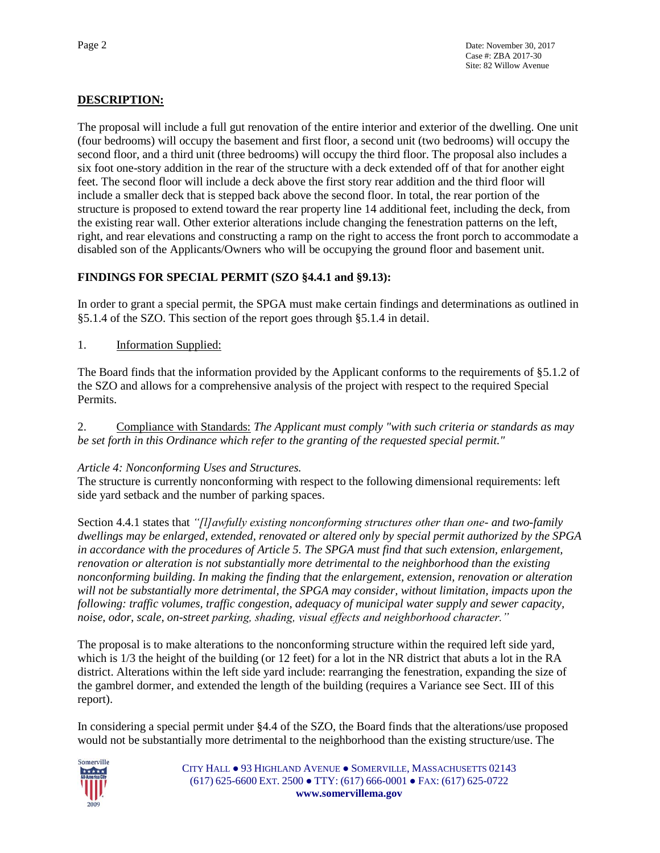# **DESCRIPTION:**

The proposal will include a full gut renovation of the entire interior and exterior of the dwelling. One unit (four bedrooms) will occupy the basement and first floor, a second unit (two bedrooms) will occupy the second floor, and a third unit (three bedrooms) will occupy the third floor. The proposal also includes a six foot one-story addition in the rear of the structure with a deck extended off of that for another eight feet. The second floor will include a deck above the first story rear addition and the third floor will include a smaller deck that is stepped back above the second floor. In total, the rear portion of the structure is proposed to extend toward the rear property line 14 additional feet, including the deck, from the existing rear wall. Other exterior alterations include changing the fenestration patterns on the left, right, and rear elevations and constructing a ramp on the right to access the front porch to accommodate a disabled son of the Applicants/Owners who will be occupying the ground floor and basement unit.

# **FINDINGS FOR SPECIAL PERMIT (SZO §4.4.1 and §9.13):**

In order to grant a special permit, the SPGA must make certain findings and determinations as outlined in §5.1.4 of the SZO. This section of the report goes through §5.1.4 in detail.

1. Information Supplied:

The Board finds that the information provided by the Applicant conforms to the requirements of §5.1.2 of the SZO and allows for a comprehensive analysis of the project with respect to the required Special Permits.

2. Compliance with Standards: *The Applicant must comply "with such criteria or standards as may be set forth in this Ordinance which refer to the granting of the requested special permit."*

# *Article 4: Nonconforming Uses and Structures.*

The structure is currently nonconforming with respect to the following dimensional requirements: left side yard setback and the number of parking spaces.

Section 4.4.1 states that *"[l]awfully existing nonconforming structures other than one- and two-family dwellings may be enlarged, extended, renovated or altered only by special permit authorized by the SPGA in accordance with the procedures of Article 5. The SPGA must find that such extension, enlargement, renovation or alteration is not substantially more detrimental to the neighborhood than the existing nonconforming building. In making the finding that the enlargement, extension, renovation or alteration will not be substantially more detrimental, the SPGA may consider, without limitation, impacts upon the following: traffic volumes, traffic congestion, adequacy of municipal water supply and sewer capacity, noise, odor, scale, on-street parking, shading, visual effects and neighborhood character."*

The proposal is to make alterations to the nonconforming structure within the required left side yard, which is  $1/3$  the height of the building (or 12 feet) for a lot in the NR district that abuts a lot in the RA district. Alterations within the left side yard include: rearranging the fenestration, expanding the size of the gambrel dormer, and extended the length of the building (requires a Variance see Sect. III of this report).

In considering a special permit under §4.4 of the SZO, the Board finds that the alterations/use proposed would not be substantially more detrimental to the neighborhood than the existing structure/use. The

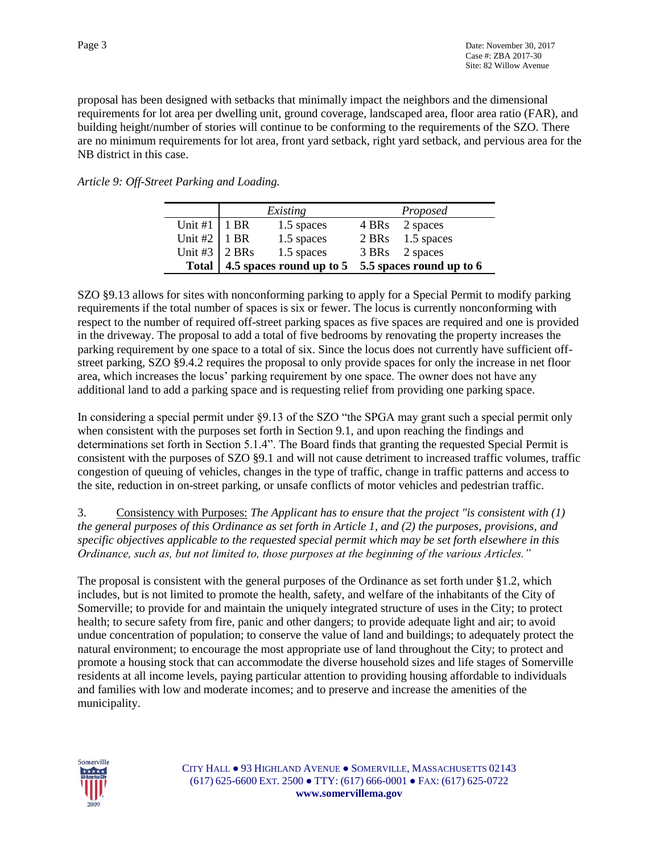proposal has been designed with setbacks that minimally impact the neighbors and the dimensional requirements for lot area per dwelling unit, ground coverage, landscaped area, floor area ratio (FAR), and building height/number of stories will continue to be conforming to the requirements of the SZO. There are no minimum requirements for lot area, front yard setback, right yard setback, and pervious area for the NB district in this case.

*Article 9: Off-Street Parking and Loading.*

|                       | Existing                 |            | Proposed                 |                  |
|-----------------------|--------------------------|------------|--------------------------|------------------|
| Unit #1               | 1 BR                     | 1.5 spaces | 4 BRs                    | 2 spaces         |
| Unit #2   1 BR        |                          | 1.5 spaces |                          | 2 BRs 1.5 spaces |
| Unit #3 $\vert$ 2 BRs |                          | 1.5 spaces |                          | 3 BRs 2 spaces   |
| Total                 | 4.5 spaces round up to 5 |            | 5.5 spaces round up to 6 |                  |

SZO §9.13 allows for sites with nonconforming parking to apply for a Special Permit to modify parking requirements if the total number of spaces is six or fewer. The locus is currently nonconforming with respect to the number of required off-street parking spaces as five spaces are required and one is provided in the driveway. The proposal to add a total of five bedrooms by renovating the property increases the parking requirement by one space to a total of six. Since the locus does not currently have sufficient offstreet parking, SZO §9.4.2 requires the proposal to only provide spaces for only the increase in net floor area, which increases the locus' parking requirement by one space. The owner does not have any additional land to add a parking space and is requesting relief from providing one parking space.

In considering a special permit under §9.13 of the SZO "the SPGA may grant such a special permit only when consistent with the purposes set forth in Section 9.1, and upon reaching the findings and determinations set forth in Section 5.1.4". The Board finds that granting the requested Special Permit is consistent with the purposes of SZO §9.1 and will not cause detriment to increased traffic volumes, traffic congestion of queuing of vehicles, changes in the type of traffic, change in traffic patterns and access to the site, reduction in on-street parking, or unsafe conflicts of motor vehicles and pedestrian traffic.

3. Consistency with Purposes: *The Applicant has to ensure that the project "is consistent with (1) the general purposes of this Ordinance as set forth in Article 1, and (2) the purposes, provisions, and specific objectives applicable to the requested special permit which may be set forth elsewhere in this Ordinance, such as, but not limited to, those purposes at the beginning of the various Articles."* 

The proposal is consistent with the general purposes of the Ordinance as set forth under §1.2, which includes, but is not limited to promote the health, safety, and welfare of the inhabitants of the City of Somerville; to provide for and maintain the uniquely integrated structure of uses in the City; to protect health; to secure safety from fire, panic and other dangers; to provide adequate light and air; to avoid undue concentration of population; to conserve the value of land and buildings; to adequately protect the natural environment; to encourage the most appropriate use of land throughout the City; to protect and promote a housing stock that can accommodate the diverse household sizes and life stages of Somerville residents at all income levels, paying particular attention to providing housing affordable to individuals and families with low and moderate incomes; and to preserve and increase the amenities of the municipality.

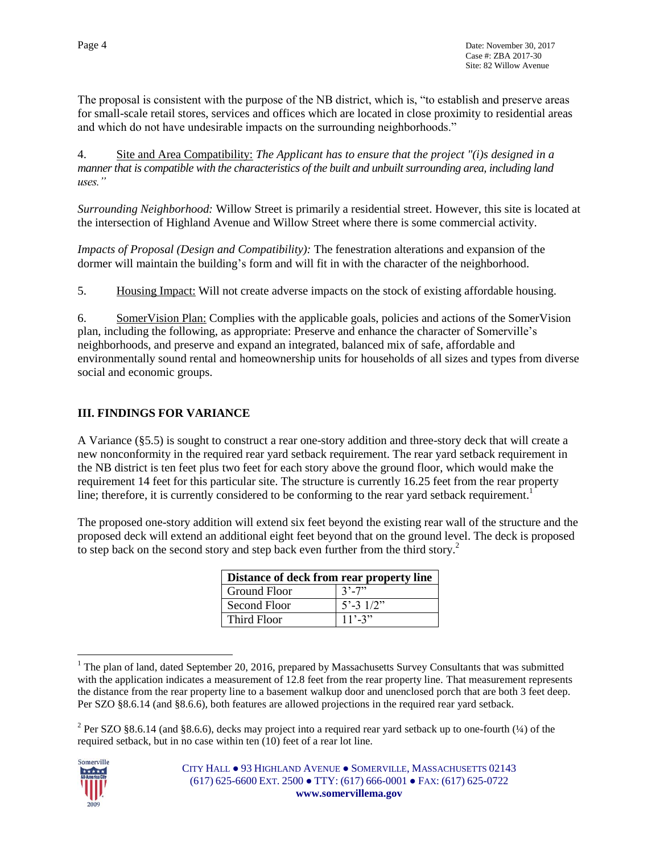The proposal is consistent with the purpose of the NB district, which is, "to establish and preserve areas for small-scale retail stores, services and offices which are located in close proximity to residential areas and which do not have undesirable impacts on the surrounding neighborhoods."

4. Site and Area Compatibility: *The Applicant has to ensure that the project "(i)s designed in a manner that is compatible with the characteristics of the built and unbuilt surrounding area, including land uses."*

*Surrounding Neighborhood:* Willow Street is primarily a residential street. However, this site is located at the intersection of Highland Avenue and Willow Street where there is some commercial activity.

*Impacts of Proposal (Design and Compatibility):* The fenestration alterations and expansion of the dormer will maintain the building's form and will fit in with the character of the neighborhood.

5. Housing Impact: Will not create adverse impacts on the stock of existing affordable housing.

6. SomerVision Plan: Complies with the applicable goals, policies and actions of the SomerVision plan, including the following, as appropriate: Preserve and enhance the character of Somerville's neighborhoods, and preserve and expand an integrated, balanced mix of safe, affordable and environmentally sound rental and homeownership units for households of all sizes and types from diverse social and economic groups.

# **III. FINDINGS FOR VARIANCE**

A Variance (§5.5) is sought to construct a rear one-story addition and three-story deck that will create a new nonconformity in the required rear yard setback requirement. The rear yard setback requirement in the NB district is ten feet plus two feet for each story above the ground floor, which would make the requirement 14 feet for this particular site. The structure is currently 16.25 feet from the rear property line; therefore, it is currently considered to be conforming to the rear yard setback requirement.<sup>1</sup>

The proposed one-story addition will extend six feet beyond the existing rear wall of the structure and the proposed deck will extend an additional eight feet beyond that on the ground level. The deck is proposed to step back on the second story and step back even further from the third story. $2$ 

| Distance of deck from rear property line |                      |  |  |
|------------------------------------------|----------------------|--|--|
| <b>Ground Floor</b>                      | $3' - 7''$           |  |  |
| Second Floor                             | $5' - 3 \frac{1}{2}$ |  |  |
| Third Floor                              | $11' - 3''$          |  |  |

 $\overline{a}$ <sup>1</sup> The plan of land, dated September 20, 2016, prepared by Massachusetts Survey Consultants that was submitted with the application indicates a measurement of 12.8 feet from the rear property line. That measurement represents the distance from the rear property line to a basement walkup door and unenclosed porch that are both 3 feet deep. Per SZO §8.6.14 (and §8.6.6), both features are allowed projections in the required rear yard setback.

<sup>&</sup>lt;sup>2</sup> Per SZO §8.6.14 (and §8.6.6), decks may project into a required rear yard setback up to one-fourth  $(½)$  of the required setback, but in no case within ten (10) feet of a rear lot line.

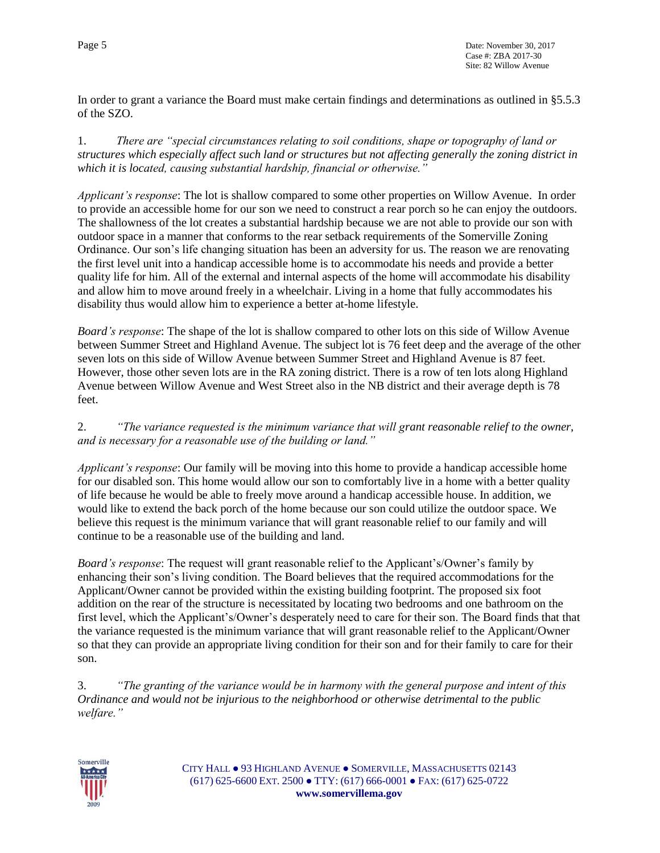In order to grant a variance the Board must make certain findings and determinations as outlined in §5.5.3 of the SZO.

1. *There are "special circumstances relating to soil conditions, shape or topography of land or structures which especially affect such land or structures but not affecting generally the zoning district in which it is located, causing substantial hardship, financial or otherwise."* 

*Applicant's response*: The lot is shallow compared to some other properties on Willow Avenue. In order to provide an accessible home for our son we need to construct a rear porch so he can enjoy the outdoors. The shallowness of the lot creates a substantial hardship because we are not able to provide our son with outdoor space in a manner that conforms to the rear setback requirements of the Somerville Zoning Ordinance. Our son's life changing situation has been an adversity for us. The reason we are renovating the first level unit into a handicap accessible home is to accommodate his needs and provide a better quality life for him. All of the external and internal aspects of the home will accommodate his disability and allow him to move around freely in a wheelchair. Living in a home that fully accommodates his disability thus would allow him to experience a better at-home lifestyle.

*Board's response*: The shape of the lot is shallow compared to other lots on this side of Willow Avenue between Summer Street and Highland Avenue. The subject lot is 76 feet deep and the average of the other seven lots on this side of Willow Avenue between Summer Street and Highland Avenue is 87 feet. However, those other seven lots are in the RA zoning district. There is a row of ten lots along Highland Avenue between Willow Avenue and West Street also in the NB district and their average depth is 78 feet.

2. *"The variance requested is the minimum variance that will grant reasonable relief to the owner, and is necessary for a reasonable use of the building or land."*

*Applicant's response*: Our family will be moving into this home to provide a handicap accessible home for our disabled son. This home would allow our son to comfortably live in a home with a better quality of life because he would be able to freely move around a handicap accessible house. In addition, we would like to extend the back porch of the home because our son could utilize the outdoor space. We believe this request is the minimum variance that will grant reasonable relief to our family and will continue to be a reasonable use of the building and land.

*Board's response*: The request will grant reasonable relief to the Applicant's/Owner's family by enhancing their son's living condition. The Board believes that the required accommodations for the Applicant/Owner cannot be provided within the existing building footprint. The proposed six foot addition on the rear of the structure is necessitated by locating two bedrooms and one bathroom on the first level, which the Applicant's/Owner's desperately need to care for their son. The Board finds that that the variance requested is the minimum variance that will grant reasonable relief to the Applicant/Owner so that they can provide an appropriate living condition for their son and for their family to care for their son.

3. *"The granting of the variance would be in harmony with the general purpose and intent of this Ordinance and would not be injurious to the neighborhood or otherwise detrimental to the public welfare."*

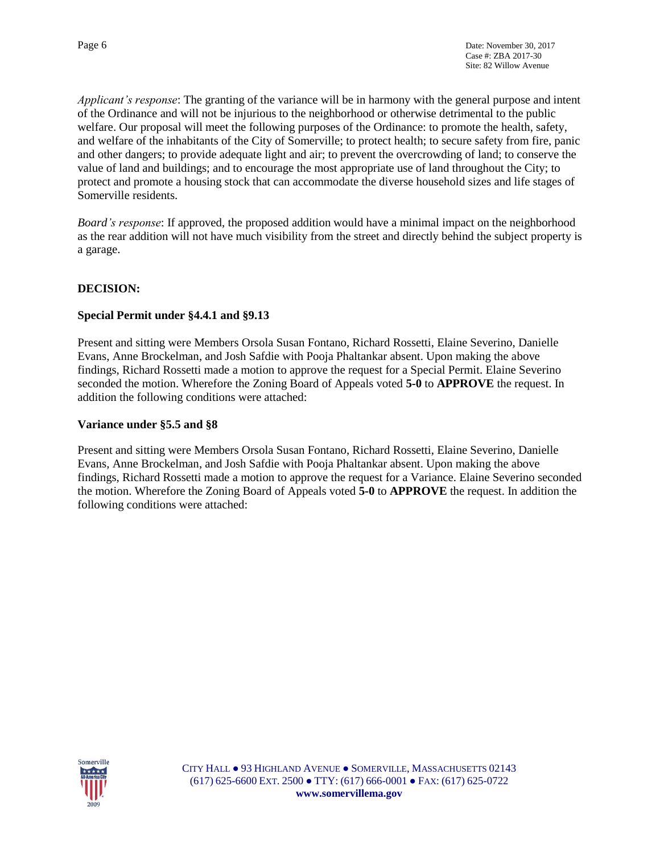*Applicant's response*: The granting of the variance will be in harmony with the general purpose and intent of the Ordinance and will not be injurious to the neighborhood or otherwise detrimental to the public welfare. Our proposal will meet the following purposes of the Ordinance: to promote the health, safety, and welfare of the inhabitants of the City of Somerville; to protect health; to secure safety from fire, panic and other dangers; to provide adequate light and air; to prevent the overcrowding of land; to conserve the value of land and buildings; and to encourage the most appropriate use of land throughout the City; to protect and promote a housing stock that can accommodate the diverse household sizes and life stages of Somerville residents.

*Board's response*: If approved, the proposed addition would have a minimal impact on the neighborhood as the rear addition will not have much visibility from the street and directly behind the subject property is a garage.

## **DECISION:**

#### **Special Permit under §4.4.1 and §9.13**

Present and sitting were Members Orsola Susan Fontano, Richard Rossetti, Elaine Severino, Danielle Evans, Anne Brockelman, and Josh Safdie with Pooja Phaltankar absent. Upon making the above findings, Richard Rossetti made a motion to approve the request for a Special Permit. Elaine Severino seconded the motion. Wherefore the Zoning Board of Appeals voted **5-0** to **APPROVE** the request. In addition the following conditions were attached:

### **Variance under §5.5 and §8**

Present and sitting were Members Orsola Susan Fontano, Richard Rossetti, Elaine Severino, Danielle Evans, Anne Brockelman, and Josh Safdie with Pooja Phaltankar absent. Upon making the above findings, Richard Rossetti made a motion to approve the request for a Variance. Elaine Severino seconded the motion. Wherefore the Zoning Board of Appeals voted **5-0** to **APPROVE** the request. In addition the following conditions were attached:

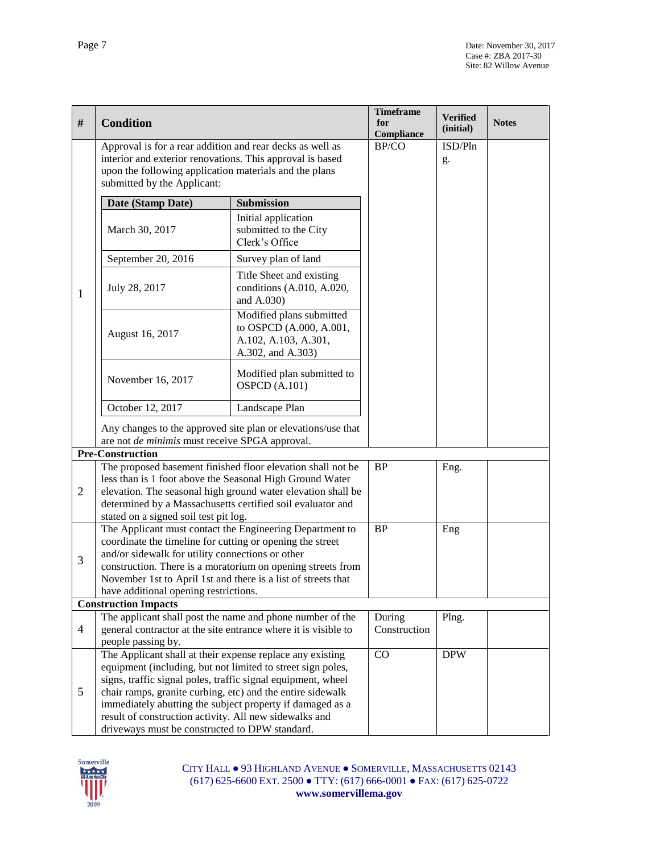|                |                                                                                                        |                                                                                                                          | <b>Timeframe</b>    |                       |              |
|----------------|--------------------------------------------------------------------------------------------------------|--------------------------------------------------------------------------------------------------------------------------|---------------------|-----------------------|--------------|
| #              | <b>Condition</b>                                                                                       |                                                                                                                          | for                 | Verified<br>(initial) | <b>Notes</b> |
|                | Approval is for a rear addition and rear decks as well as                                              |                                                                                                                          | Compliance<br>BP/CO | ISD/Pln               |              |
|                | interior and exterior renovations. This approval is based                                              |                                                                                                                          |                     |                       |              |
|                | upon the following application materials and the plans                                                 |                                                                                                                          |                     | g.                    |              |
|                | submitted by the Applicant:                                                                            |                                                                                                                          |                     |                       |              |
|                | Date (Stamp Date)                                                                                      | Submission                                                                                                               |                     |                       |              |
|                |                                                                                                        | Initial application                                                                                                      |                     |                       |              |
|                | March 30, 2017                                                                                         | submitted to the City                                                                                                    |                     |                       |              |
|                |                                                                                                        | Clerk's Office                                                                                                           |                     |                       |              |
|                | September 20, 2016                                                                                     | Survey plan of land                                                                                                      |                     |                       |              |
|                |                                                                                                        | Title Sheet and existing                                                                                                 |                     |                       |              |
| 1              | July 28, 2017                                                                                          | conditions (A.010, A.020,                                                                                                |                     |                       |              |
|                |                                                                                                        | and A.030)                                                                                                               |                     |                       |              |
|                |                                                                                                        | Modified plans submitted                                                                                                 |                     |                       |              |
|                | August 16, 2017                                                                                        | to OSPCD (A.000, A.001,                                                                                                  |                     |                       |              |
|                |                                                                                                        | A.102, A.103, A.301,                                                                                                     |                     |                       |              |
|                |                                                                                                        | A.302, and A.303)                                                                                                        |                     |                       |              |
|                |                                                                                                        | Modified plan submitted to                                                                                               |                     |                       |              |
|                | November 16, 2017                                                                                      | <b>OSPCD</b> (A.101)                                                                                                     |                     |                       |              |
|                | October 12, 2017                                                                                       | Landscape Plan                                                                                                           |                     |                       |              |
|                |                                                                                                        |                                                                                                                          |                     |                       |              |
|                |                                                                                                        | Any changes to the approved site plan or elevations/use that                                                             |                     |                       |              |
|                | are not <i>de minimis</i> must receive SPGA approval.                                                  |                                                                                                                          |                     |                       |              |
|                | <b>Pre-Construction</b>                                                                                | The proposed basement finished floor elevation shall not be                                                              | <b>BP</b>           | Eng.                  |              |
|                |                                                                                                        |                                                                                                                          |                     |                       |              |
| $\overline{2}$ |                                                                                                        | less than is 1 foot above the Seasonal High Ground Water<br>elevation. The seasonal high ground water elevation shall be |                     |                       |              |
|                |                                                                                                        | determined by a Massachusetts certified soil evaluator and                                                               |                     |                       |              |
|                | stated on a signed soil test pit log.                                                                  |                                                                                                                          |                     |                       |              |
|                |                                                                                                        | The Applicant must contact the Engineering Department to                                                                 | <b>BP</b>           | Eng                   |              |
|                | coordinate the timeline for cutting or opening the street                                              |                                                                                                                          |                     |                       |              |
| 3              | and/or sidewalk for utility connections or other                                                       |                                                                                                                          |                     |                       |              |
|                | construction. There is a moratorium on opening streets from                                            |                                                                                                                          |                     |                       |              |
|                | November 1st to April 1st and there is a list of streets that<br>have additional opening restrictions. |                                                                                                                          |                     |                       |              |
|                | <b>Construction Impacts</b>                                                                            |                                                                                                                          |                     |                       |              |
|                |                                                                                                        | The applicant shall post the name and phone number of the                                                                | During              | Plng.                 |              |
| $\overline{4}$ | general contractor at the site entrance where it is visible to                                         |                                                                                                                          | Construction        |                       |              |
|                | people passing by.                                                                                     |                                                                                                                          |                     |                       |              |
|                | The Applicant shall at their expense replace any existing                                              |                                                                                                                          | CO                  | <b>DPW</b>            |              |
|                |                                                                                                        | equipment (including, but not limited to street sign poles,                                                              |                     |                       |              |
|                | signs, traffic signal poles, traffic signal equipment, wheel                                           |                                                                                                                          |                     |                       |              |
| 5              | chair ramps, granite curbing, etc) and the entire sidewalk                                             |                                                                                                                          |                     |                       |              |
|                | immediately abutting the subject property if damaged as a                                              |                                                                                                                          |                     |                       |              |
|                | result of construction activity. All new sidewalks and                                                 |                                                                                                                          |                     |                       |              |
|                | driveways must be constructed to DPW standard.                                                         |                                                                                                                          |                     |                       |              |

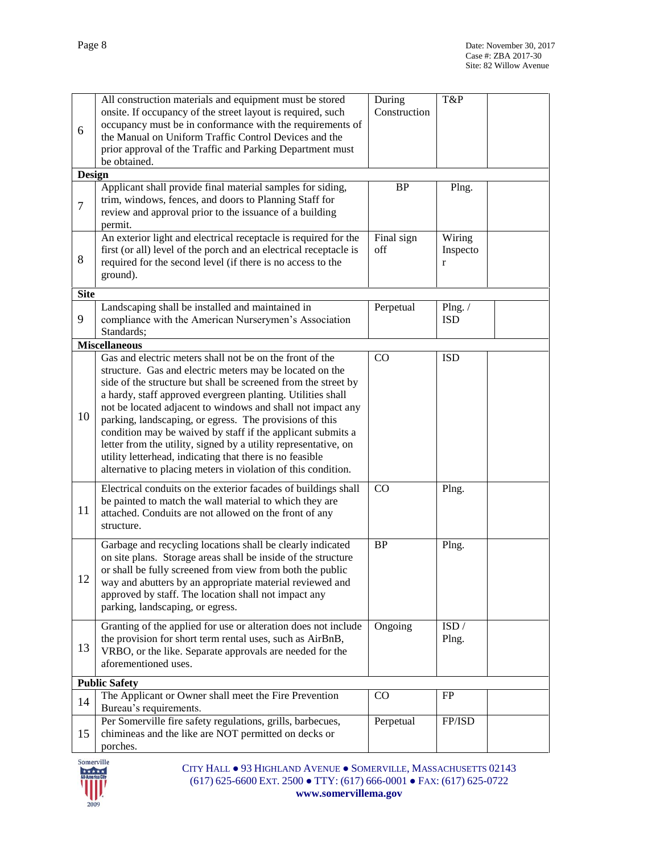| 6              | All construction materials and equipment must be stored<br>onsite. If occupancy of the street layout is required, such<br>occupancy must be in conformance with the requirements of<br>the Manual on Uniform Traffic Control Devices and the<br>prior approval of the Traffic and Parking Department must<br>be obtained.                                                                                                                                                                                                                                                                                                                      | During<br>Construction | T&P                                |  |  |
|----------------|------------------------------------------------------------------------------------------------------------------------------------------------------------------------------------------------------------------------------------------------------------------------------------------------------------------------------------------------------------------------------------------------------------------------------------------------------------------------------------------------------------------------------------------------------------------------------------------------------------------------------------------------|------------------------|------------------------------------|--|--|
| <b>Design</b>  |                                                                                                                                                                                                                                                                                                                                                                                                                                                                                                                                                                                                                                                |                        |                                    |  |  |
| $\overline{7}$ | Applicant shall provide final material samples for siding,<br>trim, windows, fences, and doors to Planning Staff for<br>review and approval prior to the issuance of a building<br>permit.                                                                                                                                                                                                                                                                                                                                                                                                                                                     | <b>BP</b>              | Plng.                              |  |  |
| 8              | An exterior light and electrical receptacle is required for the<br>first (or all) level of the porch and an electrical receptacle is<br>required for the second level (if there is no access to the<br>ground).                                                                                                                                                                                                                                                                                                                                                                                                                                | Final sign<br>off      | Wiring<br>Inspecto<br>$\mathbf{r}$ |  |  |
| <b>Site</b>    |                                                                                                                                                                                                                                                                                                                                                                                                                                                                                                                                                                                                                                                |                        |                                    |  |  |
| 9              | Landscaping shall be installed and maintained in<br>compliance with the American Nurserymen's Association<br>Standards;                                                                                                                                                                                                                                                                                                                                                                                                                                                                                                                        | Perpetual              | Plng. $/$<br><b>ISD</b>            |  |  |
|                | <b>Miscellaneous</b>                                                                                                                                                                                                                                                                                                                                                                                                                                                                                                                                                                                                                           |                        |                                    |  |  |
| 10             | Gas and electric meters shall not be on the front of the<br>structure. Gas and electric meters may be located on the<br>side of the structure but shall be screened from the street by<br>a hardy, staff approved evergreen planting. Utilities shall<br>not be located adjacent to windows and shall not impact any<br>parking, landscaping, or egress. The provisions of this<br>condition may be waived by staff if the applicant submits a<br>letter from the utility, signed by a utility representative, on<br>utility letterhead, indicating that there is no feasible<br>alternative to placing meters in violation of this condition. | $\rm CO$               | <b>ISD</b>                         |  |  |
| 11             | Electrical conduits on the exterior facades of buildings shall<br>be painted to match the wall material to which they are<br>attached. Conduits are not allowed on the front of any<br>structure.                                                                                                                                                                                                                                                                                                                                                                                                                                              | CO                     | Plng.                              |  |  |
| 12             | Garbage and recycling locations shall be clearly indicated<br>on site plans. Storage areas shall be inside of the structure<br>or shall be fully screened from view from both the public<br>way and abutters by an appropriate material reviewed and<br>approved by staff. The location shall not impact any<br>parking, landscaping, or egress.                                                                                                                                                                                                                                                                                               | <b>BP</b>              | Plng.                              |  |  |
| 13             | Granting of the applied for use or alteration does not include<br>the provision for short term rental uses, such as AirBnB,<br>VRBO, or the like. Separate approvals are needed for the<br>aforementioned uses.                                                                                                                                                                                                                                                                                                                                                                                                                                | Ongoing                | ISD /<br>Plng.                     |  |  |
|                | <b>Public Safety</b>                                                                                                                                                                                                                                                                                                                                                                                                                                                                                                                                                                                                                           |                        |                                    |  |  |
| 14             | The Applicant or Owner shall meet the Fire Prevention<br>Bureau's requirements.                                                                                                                                                                                                                                                                                                                                                                                                                                                                                                                                                                | CO                     | FP                                 |  |  |
| 15             | Per Somerville fire safety regulations, grills, barbecues,<br>chimineas and the like are NOT permitted on decks or<br>porches.                                                                                                                                                                                                                                                                                                                                                                                                                                                                                                                 | Perpetual              | FP/ISD                             |  |  |

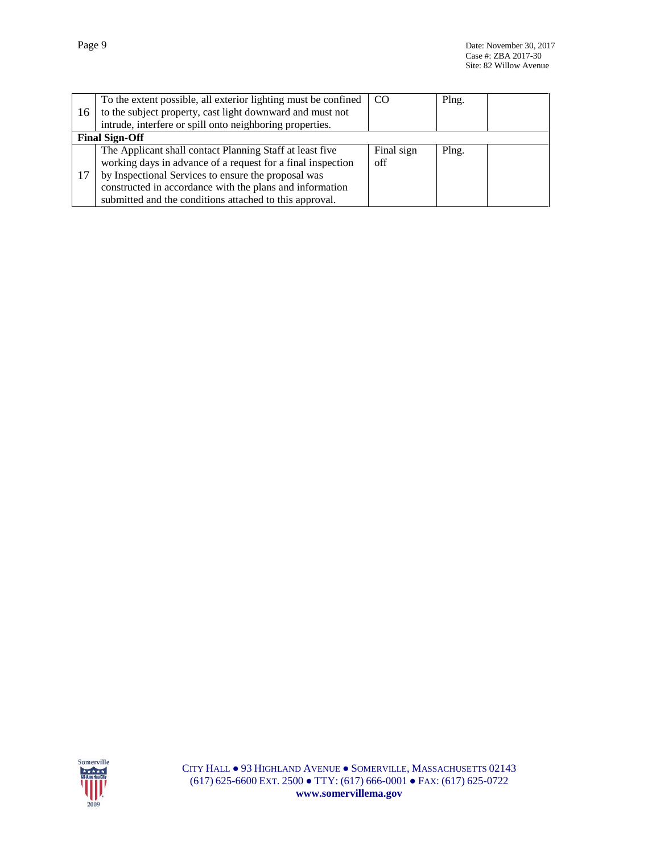| 16 | To the extent possible, all exterior lighting must be confined<br>to the subject property, cast light downward and must not<br>intrude, interfere or spill onto neighboring properties. | CO.        | Plng. |  |
|----|-----------------------------------------------------------------------------------------------------------------------------------------------------------------------------------------|------------|-------|--|
|    | <b>Final Sign-Off</b>                                                                                                                                                                   |            |       |  |
|    | The Applicant shall contact Planning Staff at least five                                                                                                                                | Final sign | Plng. |  |
|    | working days in advance of a request for a final inspection                                                                                                                             | off        |       |  |
| 17 | by Inspectional Services to ensure the proposal was                                                                                                                                     |            |       |  |
|    | constructed in accordance with the plans and information                                                                                                                                |            |       |  |
|    | submitted and the conditions attached to this approval.                                                                                                                                 |            |       |  |